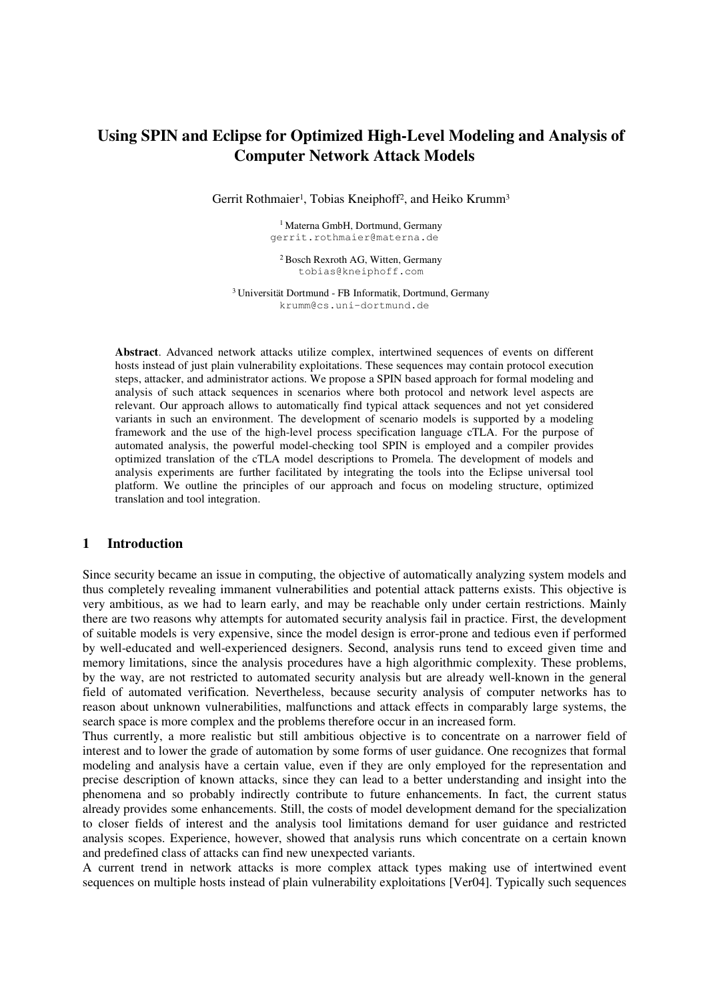# **Using SPIN and Eclipse for Optimized High-Level Modeling and Analysis of Computer Network Attack Models**

Gerrit Rothmaier<sup>1</sup>, Tobias Kneiphoff<sup>2</sup>, and Heiko Krumm<sup>3</sup>

<sup>1</sup> Materna GmbH, Dortmund, Germany gerrit.rothmaier@materna.de

<sup>2</sup> Bosch Rexroth AG, Witten, Germany tobias@kneiphoff.com

<sup>3</sup>Universität Dortmund - FB Informatik, Dortmund, Germany krumm@cs.uni-dortmund.de

**Abstract**. Advanced network attacks utilize complex, intertwined sequences of events on different hosts instead of just plain vulnerability exploitations. These sequences may contain protocol execution steps, attacker, and administrator actions. We propose a SPIN based approach for formal modeling and analysis of such attack sequences in scenarios where both protocol and network level aspects are relevant. Our approach allows to automatically find typical attack sequences and not yet considered variants in such an environment. The development of scenario models is supported by a modeling framework and the use of the high-level process specification language cTLA. For the purpose of automated analysis, the powerful model-checking tool SPIN is employed and a compiler provides optimized translation of the cTLA model descriptions to Promela. The development of models and analysis experiments are further facilitated by integrating the tools into the Eclipse universal tool platform. We outline the principles of our approach and focus on modeling structure, optimized translation and tool integration.

## **1 Introduction**

Since security became an issue in computing, the objective of automatically analyzing system models and thus completely revealing immanent vulnerabilities and potential attack patterns exists. This objective is very ambitious, as we had to learn early, and may be reachable only under certain restrictions. Mainly there are two reasons why attempts for automated security analysis fail in practice. First, the development of suitable models is very expensive, since the model design is error-prone and tedious even if performed by well-educated and well-experienced designers. Second, analysis runs tend to exceed given time and memory limitations, since the analysis procedures have a high algorithmic complexity. These problems, by the way, are not restricted to automated security analysis but are already well-known in the general field of automated verification. Nevertheless, because security analysis of computer networks has to reason about unknown vulnerabilities, malfunctions and attack effects in comparably large systems, the search space is more complex and the problems therefore occur in an increased form.

Thus currently, a more realistic but still ambitious objective is to concentrate on a narrower field of interest and to lower the grade of automation by some forms of user guidance. One recognizes that formal modeling and analysis have a certain value, even if they are only employed for the representation and precise description of known attacks, since they can lead to a better understanding and insight into the phenomena and so probably indirectly contribute to future enhancements. In fact, the current status already provides some enhancements. Still, the costs of model development demand for the specialization to closer fields of interest and the analysis tool limitations demand for user guidance and restricted analysis scopes. Experience, however, showed that analysis runs which concentrate on a certain known and predefined class of attacks can find new unexpected variants.

A current trend in network attacks is more complex attack types making use of intertwined event sequences on multiple hosts instead of plain vulnerability exploitations [Ver04]. Typically such sequences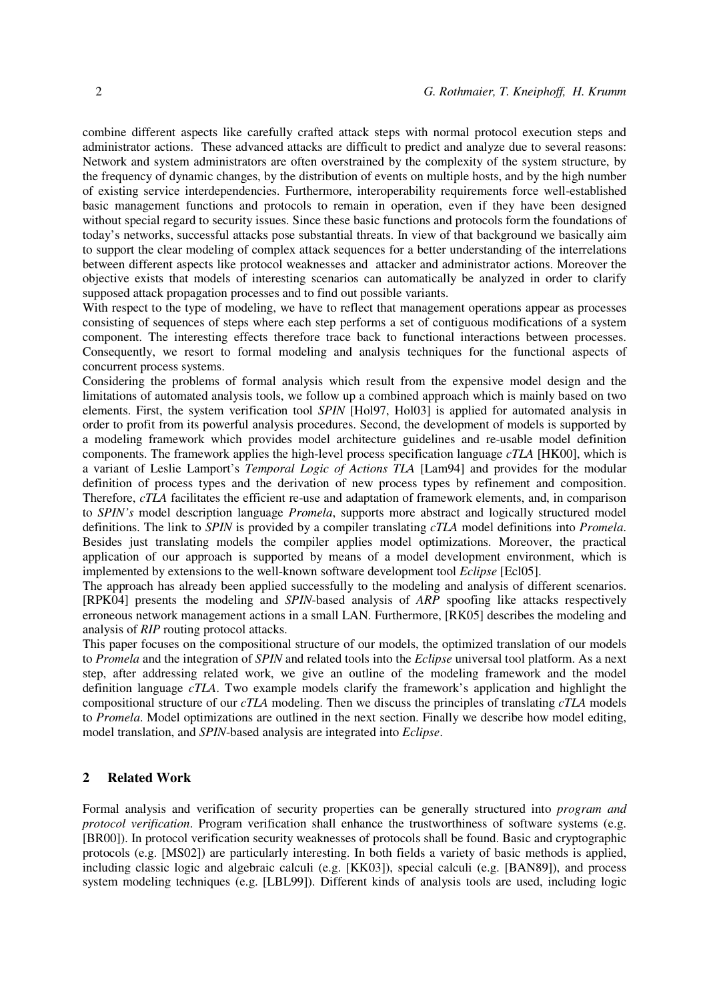combine different aspects like carefully crafted attack steps with normal protocol execution steps and administrator actions. These advanced attacks are difficult to predict and analyze due to several reasons: Network and system administrators are often overstrained by the complexity of the system structure, by the frequency of dynamic changes, by the distribution of events on multiple hosts, and by the high number of existing service interdependencies. Furthermore, interoperability requirements force well-established basic management functions and protocols to remain in operation, even if they have been designed without special regard to security issues. Since these basic functions and protocols form the foundations of today's networks, successful attacks pose substantial threats. In view of that background we basically aim to support the clear modeling of complex attack sequences for a better understanding of the interrelations between different aspects like protocol weaknesses and attacker and administrator actions. Moreover the objective exists that models of interesting scenarios can automatically be analyzed in order to clarify supposed attack propagation processes and to find out possible variants.

With respect to the type of modeling, we have to reflect that management operations appear as processes consisting of sequences of steps where each step performs a set of contiguous modifications of a system component. The interesting effects therefore trace back to functional interactions between processes. Consequently, we resort to formal modeling and analysis techniques for the functional aspects of concurrent process systems.

Considering the problems of formal analysis which result from the expensive model design and the limitations of automated analysis tools, we follow up a combined approach which is mainly based on two elements. First, the system verification tool *SPIN* [Hol97, Hol03] is applied for automated analysis in order to profit from its powerful analysis procedures. Second, the development of models is supported by a modeling framework which provides model architecture guidelines and re-usable model definition components. The framework applies the high-level process specification language *cTLA* [HK00], which is a variant of Leslie Lamport's *Temporal Logic of Actions TLA* [Lam94] and provides for the modular definition of process types and the derivation of new process types by refinement and composition. Therefore, *cTLA* facilitates the efficient re-use and adaptation of framework elements, and, in comparison to *SPIN's* model description language *Promela*, supports more abstract and logically structured model definitions. The link to *SPIN* is provided by a compiler translating *cTLA* model definitions into *Promela*. Besides just translating models the compiler applies model optimizations. Moreover, the practical application of our approach is supported by means of a model development environment, which is implemented by extensions to the well-known software development tool *Eclipse* [Ecl05].

The approach has already been applied successfully to the modeling and analysis of different scenarios. [RPK04] presents the modeling and *SPIN*-based analysis of *ARP* spoofing like attacks respectively erroneous network management actions in a small LAN. Furthermore, [RK05] describes the modeling and analysis of *RIP* routing protocol attacks.

This paper focuses on the compositional structure of our models, the optimized translation of our models to *Promela* and the integration of *SPIN* and related tools into the *Eclipse* universal tool platform. As a next step, after addressing related work, we give an outline of the modeling framework and the model definition language *cTLA*. Two example models clarify the framework's application and highlight the compositional structure of our *cTLA* modeling. Then we discuss the principles of translating *cTLA* models to *Promela*. Model optimizations are outlined in the next section. Finally we describe how model editing, model translation, and *SPIN*-based analysis are integrated into *Eclipse*.

## **2 Related Work**

Formal analysis and verification of security properties can be generally structured into *program and protocol verification*. Program verification shall enhance the trustworthiness of software systems (e.g. [BR00]). In protocol verification security weaknesses of protocols shall be found. Basic and cryptographic protocols (e.g. [MS02]) are particularly interesting. In both fields a variety of basic methods is applied, including classic logic and algebraic calculi (e.g. [KK03]), special calculi (e.g. [BAN89]), and process system modeling techniques (e.g. [LBL99]). Different kinds of analysis tools are used, including logic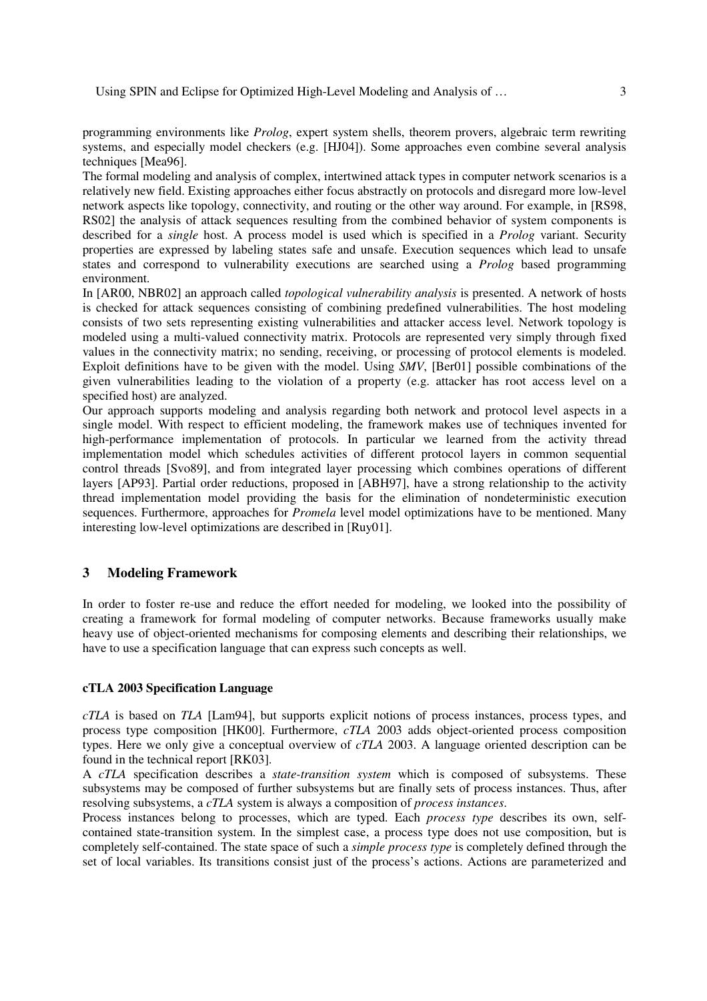programming environments like *Prolog*, expert system shells, theorem provers, algebraic term rewriting systems, and especially model checkers (e.g. [HJ04]). Some approaches even combine several analysis techniques [Mea96].

The formal modeling and analysis of complex, intertwined attack types in computer network scenarios is a relatively new field. Existing approaches either focus abstractly on protocols and disregard more low-level network aspects like topology, connectivity, and routing or the other way around. For example, in [RS98, RS02] the analysis of attack sequences resulting from the combined behavior of system components is described for a *single* host. A process model is used which is specified in a *Prolog* variant. Security properties are expressed by labeling states safe and unsafe. Execution sequences which lead to unsafe states and correspond to vulnerability executions are searched using a *Prolog* based programming environment.

In [AR00, NBR02] an approach called *topological vulnerability analysis* is presented. A network of hosts is checked for attack sequences consisting of combining predefined vulnerabilities. The host modeling consists of two sets representing existing vulnerabilities and attacker access level. Network topology is modeled using a multi-valued connectivity matrix. Protocols are represented very simply through fixed values in the connectivity matrix; no sending, receiving, or processing of protocol elements is modeled. Exploit definitions have to be given with the model. Using *SMV*, [Ber01] possible combinations of the given vulnerabilities leading to the violation of a property (e.g. attacker has root access level on a specified host) are analyzed.

Our approach supports modeling and analysis regarding both network and protocol level aspects in a single model. With respect to efficient modeling, the framework makes use of techniques invented for high-performance implementation of protocols. In particular we learned from the activity thread implementation model which schedules activities of different protocol layers in common sequential control threads [Svo89], and from integrated layer processing which combines operations of different layers [AP93]. Partial order reductions, proposed in [ABH97], have a strong relationship to the activity thread implementation model providing the basis for the elimination of nondeterministic execution sequences. Furthermore, approaches for *Promela* level model optimizations have to be mentioned. Many interesting low-level optimizations are described in [Ruy01].

## **3 Modeling Framework**

In order to foster re-use and reduce the effort needed for modeling, we looked into the possibility of creating a framework for formal modeling of computer networks. Because frameworks usually make heavy use of object-oriented mechanisms for composing elements and describing their relationships, we have to use a specification language that can express such concepts as well.

## **cTLA 2003 Specification Language**

*cTLA* is based on *TLA* [Lam94], but supports explicit notions of process instances, process types, and process type composition [HK00]. Furthermore, *cTLA* 2003 adds object-oriented process composition types. Here we only give a conceptual overview of *cTLA* 2003. A language oriented description can be found in the technical report [RK03].

A *cTLA* specification describes a *state-transition system* which is composed of subsystems. These subsystems may be composed of further subsystems but are finally sets of process instances. Thus, after resolving subsystems, a *cTLA* system is always a composition of *process instances*.

Process instances belong to processes, which are typed. Each *process type* describes its own, selfcontained state-transition system. In the simplest case, a process type does not use composition, but is completely self-contained. The state space of such a *simple process type* is completely defined through the set of local variables. Its transitions consist just of the process's actions. Actions are parameterized and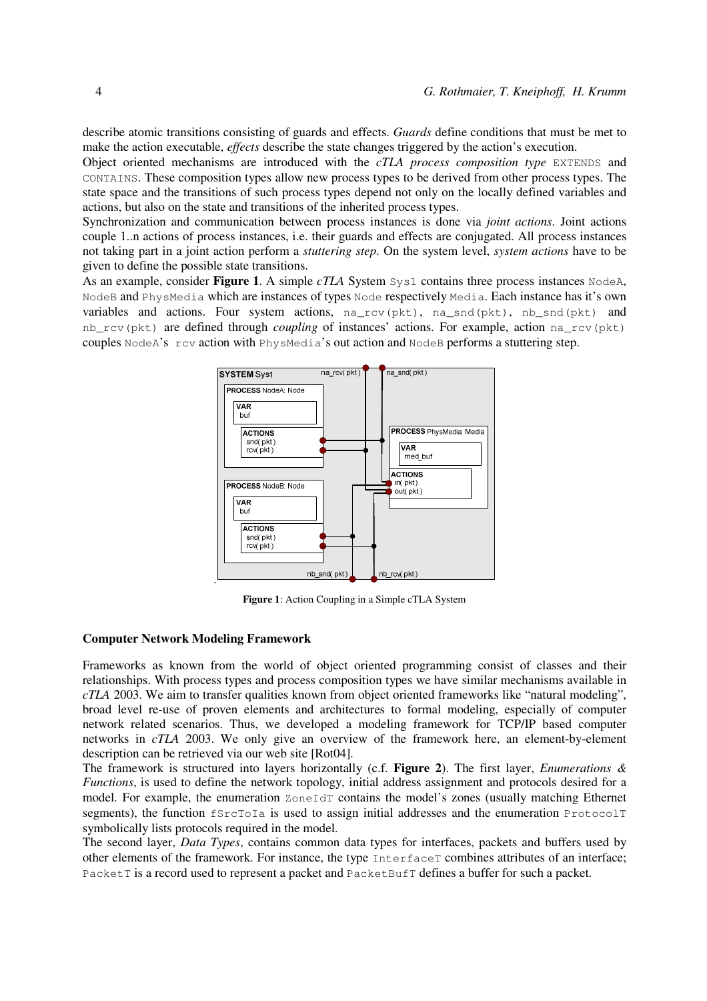describe atomic transitions consisting of guards and effects. *Guards* define conditions that must be met to make the action executable, *effects* describe the state changes triggered by the action's execution.

Object oriented mechanisms are introduced with the *cTLA process composition type* EXTENDS and CONTAINS. These composition types allow new process types to be derived from other process types. The state space and the transitions of such process types depend not only on the locally defined variables and actions, but also on the state and transitions of the inherited process types.

Synchronization and communication between process instances is done via *joint actions*. Joint actions couple 1..n actions of process instances, i.e. their guards and effects are conjugated. All process instances not taking part in a joint action perform a *stuttering step*. On the system level, *system actions* have to be given to define the possible state transitions.

As an example, consider **Figure 1**. A simple *cTLA* System Sys1 contains three process instances NodeA, NodeB and PhysMedia which are instances of types Node respectively Media. Each instance has it's own variables and actions. Four system actions, na  $rcv(\text{pkt})$ , na snd(pkt), nb snd(pkt) and nb\_rcv(pkt) are defined through *coupling* of instances' actions. For example, action na\_rcv(pkt) couples NodeA's rcv action with PhysMedia's out action and NodeB performs a stuttering step.



**Figure 1**: Action Coupling in a Simple cTLA System

#### **Computer Network Modeling Framework**

Frameworks as known from the world of object oriented programming consist of classes and their relationships. With process types and process composition types we have similar mechanisms available in *cTLA* 2003. We aim to transfer qualities known from object oriented frameworks like "natural modeling", broad level re-use of proven elements and architectures to formal modeling, especially of computer network related scenarios. Thus, we developed a modeling framework for TCP/IP based computer networks in *cTLA* 2003. We only give an overview of the framework here, an element-by-element description can be retrieved via our web site [Rot04].

The framework is structured into layers horizontally (c.f. **Figure 2**). The first layer, *Enumerations & Functions*, is used to define the network topology, initial address assignment and protocols desired for a model. For example, the enumeration ZoneIdT contains the model's zones (usually matching Ethernet segments), the function fSrcToIa is used to assign initial addresses and the enumeration ProtocolT symbolically lists protocols required in the model.

The second layer, *Data Types*, contains common data types for interfaces, packets and buffers used by other elements of the framework. For instance, the type InterfaceT combines attributes of an interface; PacketT is a record used to represent a packet and PacketBufT defines a buffer for such a packet.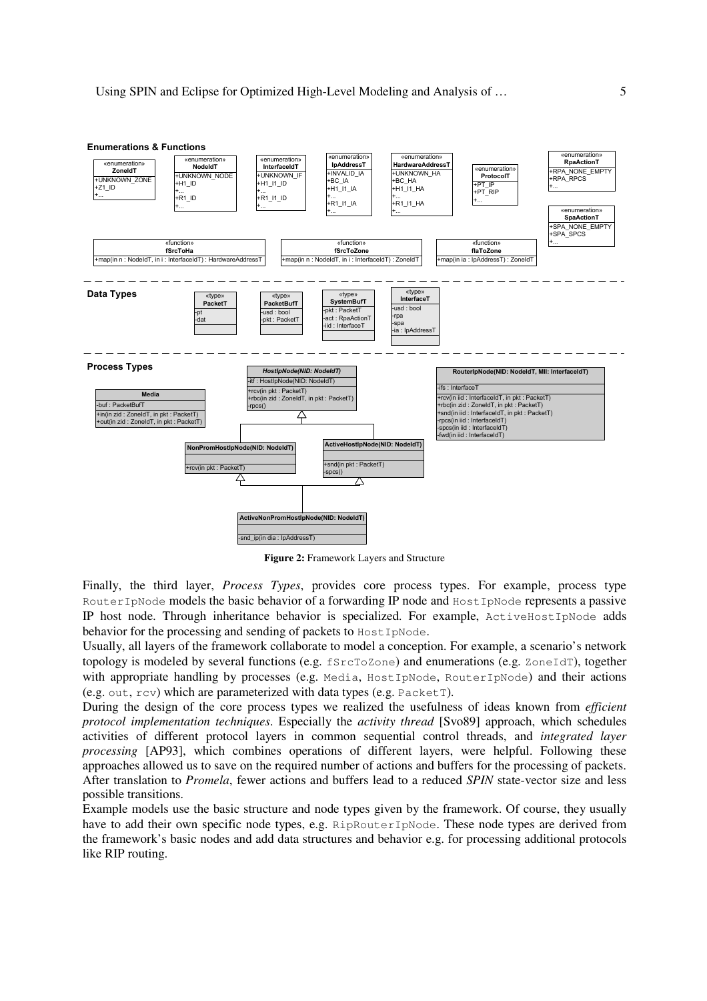

**Figure 2:** Framework Layers and Structure

Finally, the third layer, *Process Types*, provides core process types. For example, process type RouterIpNode models the basic behavior of a forwarding IP node and HostIpNode represents a passive IP host node. Through inheritance behavior is specialized. For example, ActiveHostIpNode adds behavior for the processing and sending of packets to HostIpNode.

Usually, all layers of the framework collaborate to model a conception. For example, a scenario's network topology is modeled by several functions (e.g. fSrcToZone) and enumerations (e.g. ZoneIdT), together with appropriate handling by processes (e.g. Media, HostIpNode, RouterIpNode) and their actions (e.g. out, rcv) which are parameterized with data types (e.g. PacketT).

During the design of the core process types we realized the usefulness of ideas known from *efficient protocol implementation techniques*. Especially the *activity thread* [Svo89] approach, which schedules activities of different protocol layers in common sequential control threads, and *integrated layer processing* [AP93], which combines operations of different layers, were helpful. Following these approaches allowed us to save on the required number of actions and buffers for the processing of packets. After translation to *Promela*, fewer actions and buffers lead to a reduced *SPIN* state-vector size and less possible transitions.

Example models use the basic structure and node types given by the framework. Of course, they usually have to add their own specific node types, e.g. RipRouterIpNode. These node types are derived from the framework's basic nodes and add data structures and behavior e.g. for processing additional protocols like RIP routing.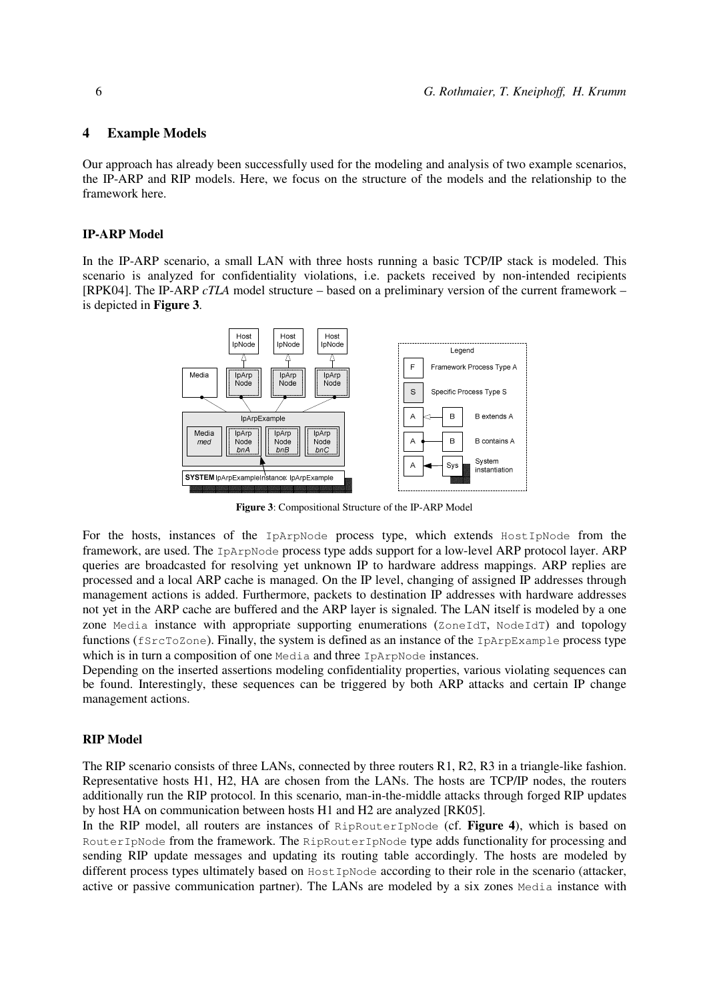#### **4 Example Models**

Our approach has already been successfully used for the modeling and analysis of two example scenarios, the IP-ARP and RIP models. Here, we focus on the structure of the models and the relationship to the framework here.

#### **IP-ARP Model**

In the IP-ARP scenario, a small LAN with three hosts running a basic TCP/IP stack is modeled. This scenario is analyzed for confidentiality violations, i.e. packets received by non-intended recipients [RPK04]. The IP-ARP *cTLA* model structure – based on a preliminary version of the current framework – is depicted in **Figure 3**.



**Figure 3**: Compositional Structure of the IP-ARP Model

For the hosts, instances of the IpArpNode process type, which extends HostIpNode from the framework, are used. The IpArpNode process type adds support for a low-level ARP protocol layer. ARP queries are broadcasted for resolving yet unknown IP to hardware address mappings. ARP replies are processed and a local ARP cache is managed. On the IP level, changing of assigned IP addresses through management actions is added. Furthermore, packets to destination IP addresses with hardware addresses not yet in the ARP cache are buffered and the ARP layer is signaled. The LAN itself is modeled by a one zone Media instance with appropriate supporting enumerations (ZoneIdT, NodeIdT) and topology functions (fSrcToZone). Finally, the system is defined as an instance of the IpArpExample process type which is in turn a composition of one Media and three IpArpNode instances.

Depending on the inserted assertions modeling confidentiality properties, various violating sequences can be found. Interestingly, these sequences can be triggered by both ARP attacks and certain IP change management actions.

#### **RIP Model**

The RIP scenario consists of three LANs, connected by three routers R1, R2, R3 in a triangle-like fashion. Representative hosts H1, H2, HA are chosen from the LANs. The hosts are TCP/IP nodes, the routers additionally run the RIP protocol. In this scenario, man-in-the-middle attacks through forged RIP updates by host HA on communication between hosts H1 and H2 are analyzed [RK05].

In the RIP model, all routers are instances of RipRouterIpNode (cf. **Figure 4**), which is based on RouterIpNode from the framework. The RipRouterIpNode type adds functionality for processing and sending RIP update messages and updating its routing table accordingly. The hosts are modeled by different process types ultimately based on  $H \circ t$  prode according to their role in the scenario (attacker, active or passive communication partner). The LANs are modeled by a six zones Media instance with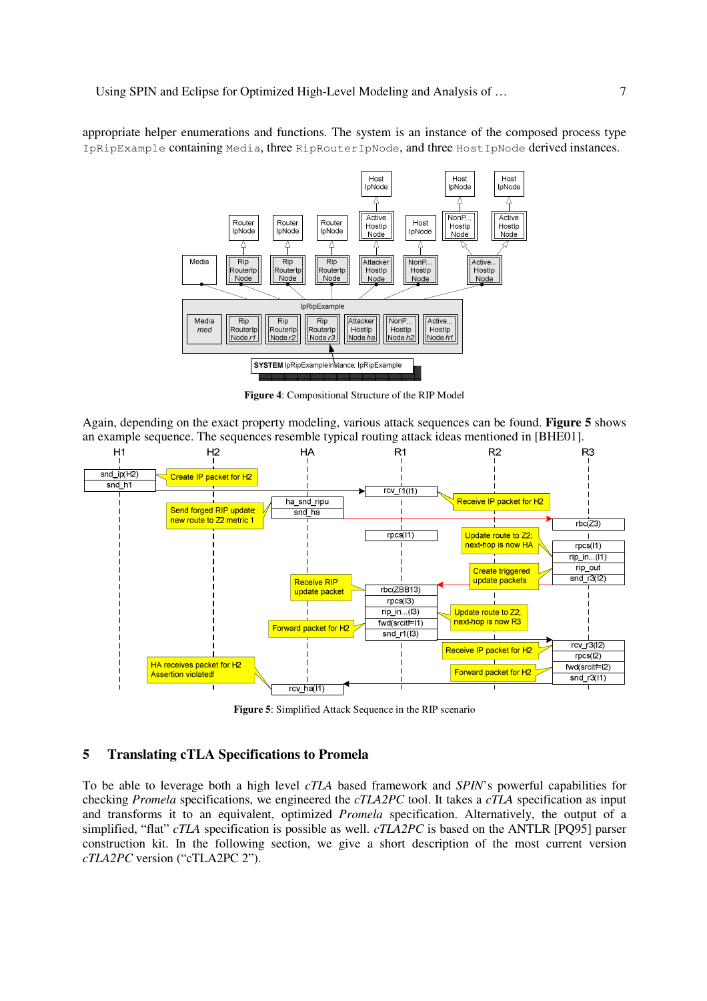appropriate helper enumerations and functions. The system is an instance of the composed process type IpRipExample containing Media, three RipRouterIpNode, and three HostIpNode derived instances.



**Figure 4**: Compositional Structure of the RIP Model

Again, depending on the exact property modeling, various attack sequences can be found. **Figure 5** shows an example sequence. The sequences resemble typical routing attack ideas mentioned in [BHE01].



**Figure 5**: Simplified Attack Sequence in the RIP scenario

#### **5 Translating cTLA Specifications to Promela**

To be able to leverage both a high level *cTLA* based framework and *SPIN*'s powerful capabilities for checking *Promela* specifications, we engineered the *cTLA2PC* tool. It takes a *cTLA* specification as input and transforms it to an equivalent, optimized *Promela* specification. Alternatively, the output of a simplified, "flat" *cTLA* specification is possible as well. *cTLA2PC* is based on the ANTLR [PQ95] parser construction kit. In the following section, we give a short description of the most current version *cTLA2PC* version ("cTLA2PC 2").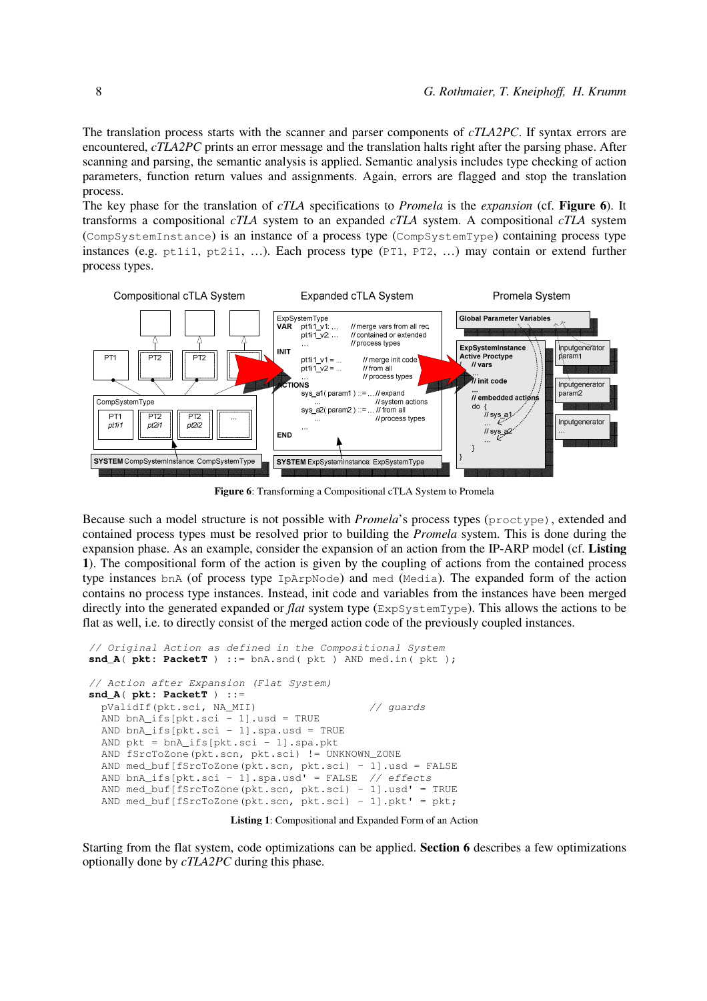The translation process starts with the scanner and parser components of *cTLA2PC*. If syntax errors are encountered, *cTLA2PC* prints an error message and the translation halts right after the parsing phase. After scanning and parsing, the semantic analysis is applied. Semantic analysis includes type checking of action parameters, function return values and assignments. Again, errors are flagged and stop the translation process.

The key phase for the translation of *cTLA* specifications to *Promela* is the *expansion* (cf. **Figure 6**). It transforms a compositional *cTLA* system to an expanded *cTLA* system. A compositional *cTLA* system (CompSystemInstance) is an instance of a process type (CompSystemType) containing process type instances (e.g. pt1i1, pt2i1, …). Each process type (PT1, PT2, …) may contain or extend further process types.



**Figure 6**: Transforming a Compositional cTLA System to Promela

Because such a model structure is not possible with *Promela*'s process types (proctype), extended and contained process types must be resolved prior to building the *Promela* system. This is done during the expansion phase. As an example, consider the expansion of an action from the IP-ARP model (cf. **Listing 1**). The compositional form of the action is given by the coupling of actions from the contained process type instances bnA (of process type IpArpNode) and med (Media). The expanded form of the action contains no process type instances. Instead, init code and variables from the instances have been merged directly into the generated expanded or *flat* system type (ExpSystemType). This allows the actions to be flat as well, i.e. to directly consist of the merged action code of the previously coupled instances.

```
// Original Action as defined in the Compositional System 
snd A( pkt: PacketT ) ::= bnA.snd( pkt ) AND med.in( pkt );
// Action after Expansion (Flat System) 
snd_A( pkt: PacketT ) ::= 
   pValidIf(pkt.sci, NA_MII) // guards
   AND bnA_ifs[pkt.sci - 1].usd = TRUE 
  AND bnA_ifs[pkt.sci - 1].spa.usd = TRUE
   AND pkt = bnA_ifs[pkt.sci - 1].spa.pkt 
   AND fSrcToZone(pkt.scn, pkt.sci) != UNKNOWN_ZONE 
  AND med_buf[fSrcToZone(pkt.scn, pkt.sci) - 1].usd = FALSE
  AND bnA ifs[pkt.sci - 1].spa.usd' = FALSE // effects
  AND med_buf[fSrcToZone(pkt.scn, pkt.sci) - 1].usd' = TRUE
   AND med_buf[fSrcToZone(pkt.scn, pkt.sci) - 1].pkt' = pkt;
```
**Listing 1**: Compositional and Expanded Form of an Action

Starting from the flat system, code optimizations can be applied. **Section 6** describes a few optimizations optionally done by *cTLA2PC* during this phase.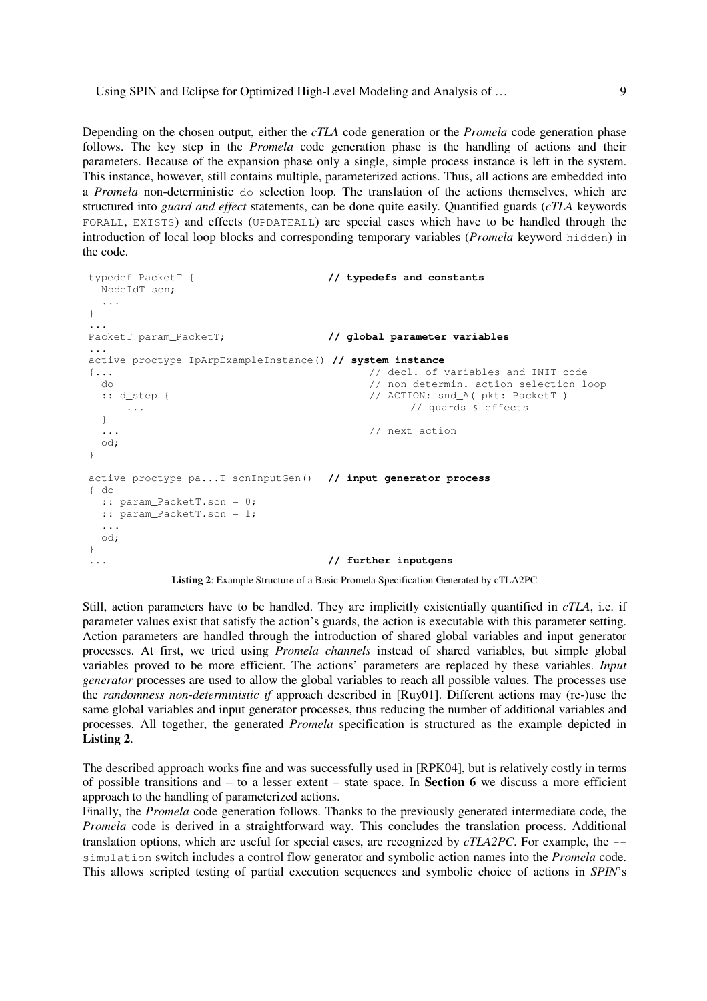Depending on the chosen output, either the *cTLA* code generation or the *Promela* code generation phase follows. The key step in the *Promela* code generation phase is the handling of actions and their parameters. Because of the expansion phase only a single, simple process instance is left in the system. This instance, however, still contains multiple, parameterized actions. Thus, all actions are embedded into a *Promela* non-deterministic do selection loop. The translation of the actions themselves, which are structured into *guard and effect* statements, can be done quite easily. Quantified guards (*cTLA* keywords FORALL, EXISTS) and effects (UPDATEALL) are special cases which have to be handled through the introduction of local loop blocks and corresponding temporary variables (*Promela* keyword hidden) in the code.

```
typedef PacketT { // typedefs and constants
  NodeIdT scn; 
 ... 
} 
... 
PacketT param_PacketT; // global parameter variables
... 
active proctype IpArpExampleInstance() // system instance
{... // decl. of variables and INIT code 
  do // non-determin. action selection loop 
   :: d_step { // ACTION: snd_A( pkt: PacketT ) 
     ... 1992. The set of the set of the set of the set of the set of the set of the set of the set of the set of the set of the set of the set of the set of the set of the set of the set of the set of the set of the set of t
   } 
   ... // next action 
   od; 
} 
active proctype pa...T_scnInputGen() // input generator process
{ do 
   :: param_PacketT.scn = 0; 
   :: param_PacketT.scn = 1; 
   ... 
  od; 
} 
... // further inputgens
```

```
Listing 2: Example Structure of a Basic Promela Specification Generated by cTLA2PC
```
Still, action parameters have to be handled. They are implicitly existentially quantified in *cTLA*, i.e. if parameter values exist that satisfy the action's guards, the action is executable with this parameter setting. Action parameters are handled through the introduction of shared global variables and input generator processes. At first, we tried using *Promela channels* instead of shared variables, but simple global variables proved to be more efficient. The actions' parameters are replaced by these variables. *Input generator* processes are used to allow the global variables to reach all possible values. The processes use the *randomness non-deterministic if* approach described in [Ruy01]. Different actions may (re-)use the same global variables and input generator processes, thus reducing the number of additional variables and processes. All together, the generated *Promela* specification is structured as the example depicted in **Listing 2**.

The described approach works fine and was successfully used in [RPK04], but is relatively costly in terms of possible transitions and – to a lesser extent – state space. In **Section 6** we discuss a more efficient approach to the handling of parameterized actions.

Finally, the *Promela* code generation follows. Thanks to the previously generated intermediate code, the *Promela* code is derived in a straightforward way. This concludes the translation process. Additional translation options, which are useful for special cases, are recognized by *cTLA2PC*. For example, the - simulation switch includes a control flow generator and symbolic action names into the *Promela* code. This allows scripted testing of partial execution sequences and symbolic choice of actions in *SPIN*'s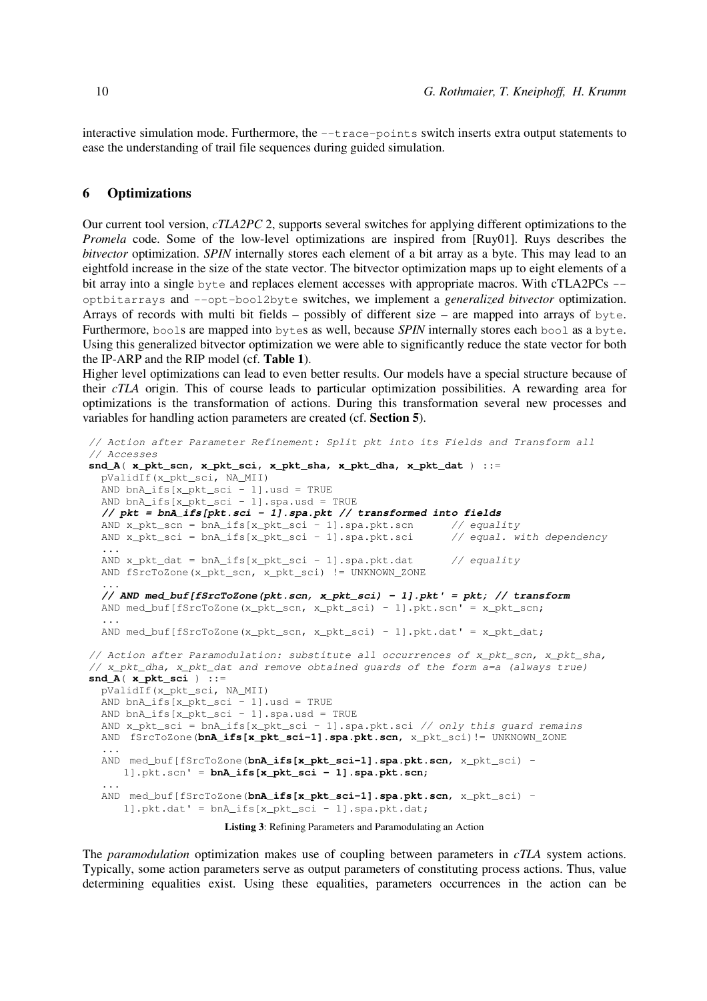interactive simulation mode. Furthermore, the --trace-points switch inserts extra output statements to ease the understanding of trail file sequences during guided simulation.

#### **6 Optimizations**

Our current tool version, *cTLA2PC* 2, supports several switches for applying different optimizations to the *Promela* code. Some of the low-level optimizations are inspired from [Ruy01]. Ruys describes the *bitvector* optimization. *SPIN* internally stores each element of a bit array as a byte. This may lead to an eightfold increase in the size of the state vector. The bitvector optimization maps up to eight elements of a bit array into a single byte and replaces element accesses with appropriate macros. With cTLA2PCs -optbitarrays and --opt-bool2byte switches, we implement a *generalized bitvector* optimization. Arrays of records with multi bit fields – possibly of different size – are mapped into arrays of  $byte$ . Furthermore, bools are mapped into bytes as well, because *SPIN* internally stores each bool as a byte. Using this generalized bitvector optimization we were able to significantly reduce the state vector for both the IP-ARP and the RIP model (cf. **Table 1**).

Higher level optimizations can lead to even better results. Our models have a special structure because of their *cTLA* origin. This of course leads to particular optimization possibilities. A rewarding area for optimizations is the transformation of actions. During this transformation several new processes and variables for handling action parameters are created (cf. **Section 5**).

```
// Action after Parameter Refinement: Split pkt into its Fields and Transform all 
// Accesses 
snd_A( x_pkt_scn, x_pkt_sci, x_pkt_sha, x_pkt_dha, x_pkt_dat ) ::= 
   pValidIf(x_pkt_sci, NA_MII) 
   AND bnA_ifs[x_pkt_sci - 1].usd = TRUE 
  AND bnA_ifs[x៊_pt_sci - 1].spa.usd = TRUE
  // pkt = bnA_ifs[pkt.sci - 1].spa.pkt // transformed into fields 
  AND x_pkt_scn = bnA_ifs[x_pkt_sci - 1].spa.pkt.scn // equality
   AND x_pkt_sci = bnA_ifs[x_pkt_sci – 1].spa.pkt.sci // equal. with dependency
   ... 
  AND x_pkt_dat = bnA_ifs[x_pkt_sci - 1].spa.pkt.dat // equality
   AND fSrcToZone(x_pkt_scn, x_pkt_sci) != UNKNOWN_ZONE 
 ... 
   // AND med_buf[fSrcToZone(pkt.scn, x_pkt_sci) - 1].pkt' = pkt; // transform 
  AND med buf[fSrcToZone(x_pkt_scn, x_pkt_sci) - 1].pkt.scn' = x_pkt_scn;
   ... 
  AND med_buf[fSrcToZone(x_pkt_scn, x_pkt_sci) - 1].pkt.dat' = x_pkt_dat;
// Action after Paramodulation: substitute all occurrences of x pkt_scn, x pkt_sha,
// x_pkt_dha, x_pkt_dat and remove obtained guards of the form a=a (always true) 
snd_A( x_pkt_sci ) ::= 
   pValidIf(x_pkt_sci, NA_MII) 
   AND bnA_ifs[x_pkt_sci - 1].usd = TRUE 
   AND bnA_ifs[x_pkt_sci - 1].spa.usd = TRUE 
  AND x_pkt_sci = bnA_ifs[x_pkt_sci - 1].spa.pkt.sci // only this guard remains
   AND fSrcToZone(bnA_ifs[x_pkt_sci–1].spa.pkt.scn, x_pkt_sci)!= UNKNOWN_ZONE 
   ... 
   AND med_buf[fSrcToZone(bnA_ifs[x_pkt_sci–1].spa.pkt.scn, x_pkt_sci) - 
      1].pkt.scn' = bnA_ifs[x_pkt_sci – 1].spa.pkt.scn; 
 ... 
   AND med_buf[fSrcToZone(bnA_ifs[x_pkt_sci–1].spa.pkt.scn, x_pkt_sci) - 
      1].pkt.dat' = bnA_ifs[x_pkt_sci – 1].spa.pkt.dat; 
                      Listing 3: Refining Parameters and Paramodulating an Action
```
The *paramodulation* optimization makes use of coupling between parameters in *cTLA* system actions. Typically, some action parameters serve as output parameters of constituting process actions. Thus, value determining equalities exist. Using these equalities, parameters occurrences in the action can be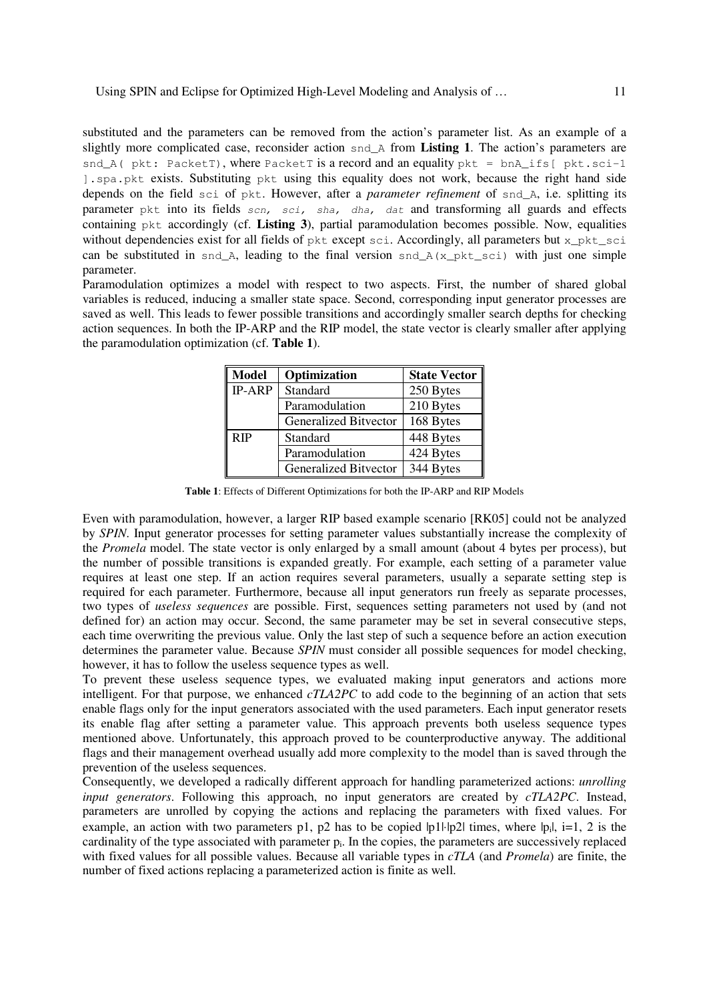substituted and the parameters can be removed from the action's parameter list. As an example of a slightly more complicated case, reconsider action snd\_A from **Listing 1**. The action's parameters are snd  $A$ ( pkt: PacketT), where PacketT is a record and an equality pkt = bnA\_ifs[ pkt.sci-1 ].spa.pkt exists. Substituting pkt using this equality does not work, because the right hand side depends on the field sci of pkt. However, after a *parameter refinement* of snd\_A, i.e. splitting its parameter pkt into its fields scn, sci, sha, dha, dat and transforming all guards and effects containing pkt accordingly (cf. **Listing 3**), partial paramodulation becomes possible. Now, equalities without dependencies exist for all fields of pkt except sci. Accordingly, all parameters but x\_pkt\_sci can be substituted in snd A, leading to the final version snd  $A(x)$  pkt sci) with just one simple parameter.

Paramodulation optimizes a model with respect to two aspects. First, the number of shared global variables is reduced, inducing a smaller state space. Second, corresponding input generator processes are saved as well. This leads to fewer possible transitions and accordingly smaller search depths for checking action sequences. In both the IP-ARP and the RIP model, the state vector is clearly smaller after applying the paramodulation optimization (cf. **Table 1**).

| <b>Model</b>  | Optimization          | <b>State Vector</b> |
|---------------|-----------------------|---------------------|
| <b>IP-ARP</b> | Standard              | 250 Bytes           |
|               | Paramodulation        | 210 Bytes           |
|               | Generalized Bitvector | 168 Bytes           |
| <b>RIP</b>    | Standard              | 448 Bytes           |
|               | Paramodulation        | 424 Bytes           |
|               | Generalized Bitvector | 344 Bytes           |

**Table 1**: Effects of Different Optimizations for both the IP-ARP and RIP Models

Even with paramodulation, however, a larger RIP based example scenario [RK05] could not be analyzed by *SPIN*. Input generator processes for setting parameter values substantially increase the complexity of the *Promela* model. The state vector is only enlarged by a small amount (about 4 bytes per process), but the number of possible transitions is expanded greatly. For example, each setting of a parameter value requires at least one step. If an action requires several parameters, usually a separate setting step is required for each parameter. Furthermore, because all input generators run freely as separate processes, two types of *useless sequences* are possible. First, sequences setting parameters not used by (and not defined for) an action may occur. Second, the same parameter may be set in several consecutive steps, each time overwriting the previous value. Only the last step of such a sequence before an action execution determines the parameter value. Because *SPIN* must consider all possible sequences for model checking, however, it has to follow the useless sequence types as well.

To prevent these useless sequence types, we evaluated making input generators and actions more intelligent. For that purpose, we enhanced *cTLA2PC* to add code to the beginning of an action that sets enable flags only for the input generators associated with the used parameters. Each input generator resets its enable flag after setting a parameter value. This approach prevents both useless sequence types mentioned above. Unfortunately, this approach proved to be counterproductive anyway. The additional flags and their management overhead usually add more complexity to the model than is saved through the prevention of the useless sequences.

Consequently, we developed a radically different approach for handling parameterized actions: *unrolling input generators*. Following this approach, no input generators are created by *cTLA2PC*. Instead, parameters are unrolled by copying the actions and replacing the parameters with fixed values. For example, an action with two parameters p1, p2 has to be copied  $|p_1|$ · $|p_2|$  times, where  $|p_i|$ , i=1, 2 is the cardinality of the type associated with parameter  $p_i$ . In the copies, the parameters are successively replaced with fixed values for all possible values. Because all variable types in *cTLA* (and *Promela*) are finite, the number of fixed actions replacing a parameterized action is finite as well.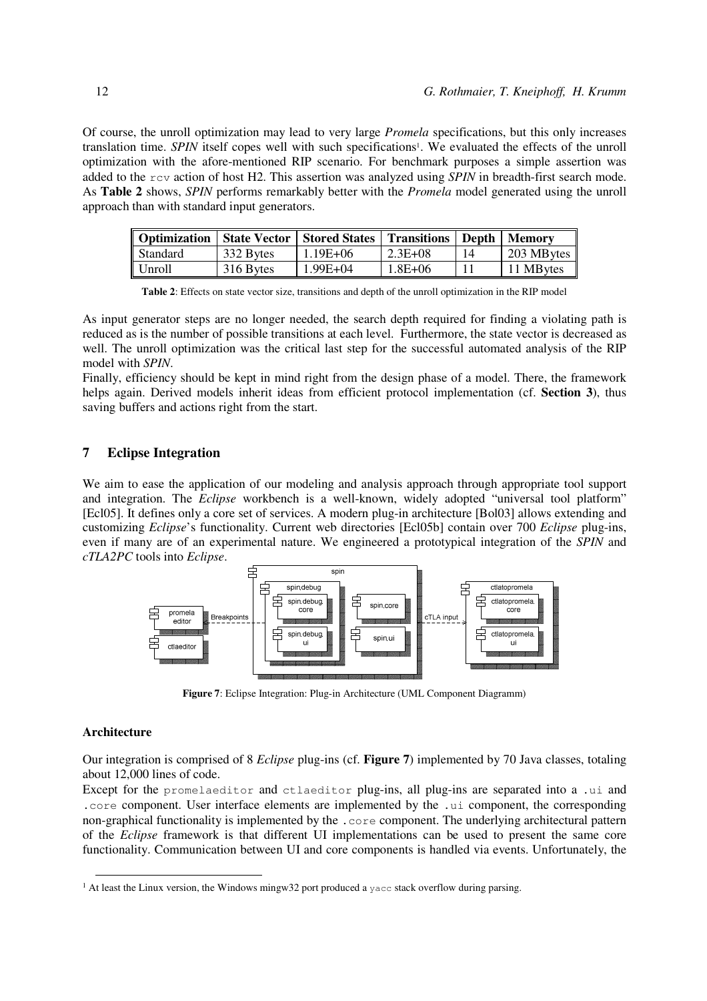Of course, the unroll optimization may lead to very large *Promela* specifications, but this only increases translation time. *SPIN* itself copes well with such specifications<sup>1</sup>. We evaluated the effects of the unroll optimization with the afore-mentioned RIP scenario. For benchmark purposes a simple assertion was added to the rcv action of host H2. This assertion was analyzed using *SPIN* in breadth-first search mode. As **Table 2** shows, *SPIN* performs remarkably better with the *Promela* model generated using the unroll approach than with standard input generators.

|          |           | <b>Optimization   State Vector   Stored States</b> | <b>Transitions</b> | Depth | Memory        |
|----------|-----------|----------------------------------------------------|--------------------|-------|---------------|
| Standard | 332 Bytes | $1.19E + 06$                                       | $2.3E + 08$        | 14    | $203$ MB ytes |
| Unroll   | 316 Bytes | $1.99E + 04$                                       | $1.8E + 06$        |       | 11 MB vtes    |

**Table 2**: Effects on state vector size, transitions and depth of the unroll optimization in the RIP model

As input generator steps are no longer needed, the search depth required for finding a violating path is reduced as is the number of possible transitions at each level. Furthermore, the state vector is decreased as well. The unroll optimization was the critical last step for the successful automated analysis of the RIP model with *SPIN*.

Finally, efficiency should be kept in mind right from the design phase of a model. There, the framework helps again. Derived models inherit ideas from efficient protocol implementation (cf. **Section 3**), thus saving buffers and actions right from the start.

## **7 Eclipse Integration**

We aim to ease the application of our modeling and analysis approach through appropriate tool support and integration. The *Eclipse* workbench is a well-known, widely adopted "universal tool platform" [Ecl05]. It defines only a core set of services. A modern plug-in architecture [Bol03] allows extending and customizing *Eclipse*'s functionality. Current web directories [Ecl05b] contain over 700 *Eclipse* plug-ins, even if many are of an experimental nature. We engineered a prototypical integration of the *SPIN* and *cTLA2PC* tools into *Eclipse*.



**Figure 7**: Eclipse Integration: Plug-in Architecture (UML Component Diagramm)

#### **Architecture**

**.** 

Our integration is comprised of 8 *Eclipse* plug-ins (cf. **Figure 7**) implemented by 70 Java classes, totaling about 12,000 lines of code.

Except for the promelaeditor and ctlaeditor plug-ins, all plug-ins are separated into a .ui and .core component. User interface elements are implemented by the .ui component, the corresponding non-graphical functionality is implemented by the .core component. The underlying architectural pattern of the *Eclipse* framework is that different UI implementations can be used to present the same core functionality. Communication between UI and core components is handled via events. Unfortunately, the

<sup>&</sup>lt;sup>1</sup> At least the Linux version, the Windows mingw32 port produced a yacc stack overflow during parsing.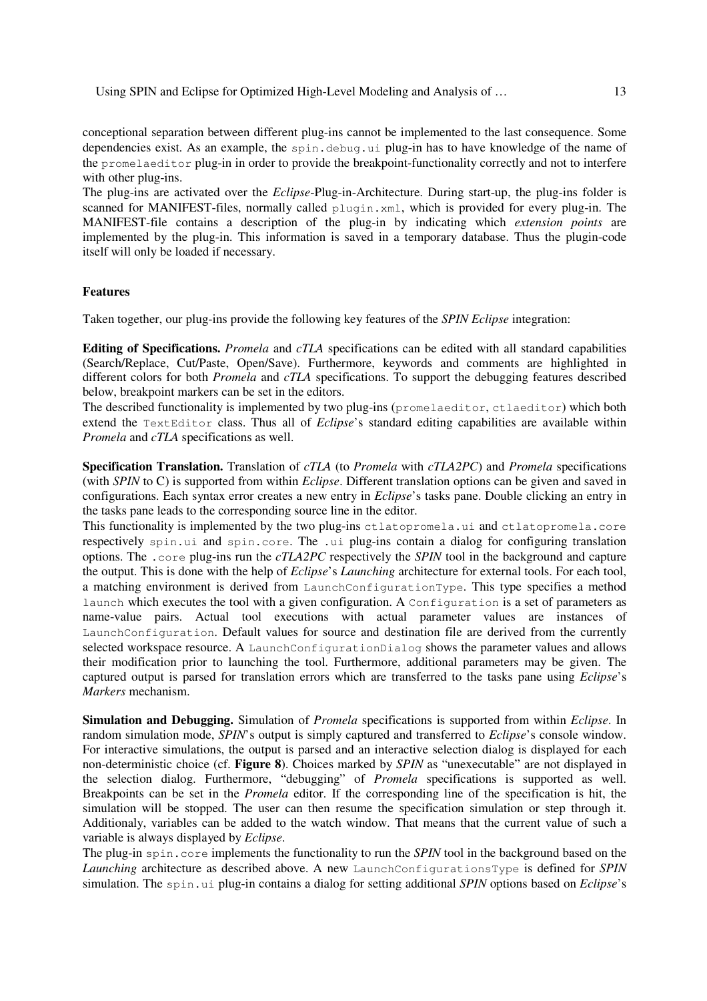Using SPIN and Eclipse for Optimized High-Level Modeling and Analysis of ... 13

conceptional separation between different plug-ins cannot be implemented to the last consequence. Some dependencies exist. As an example, the spin.debug.ui plug-in has to have knowledge of the name of the promelaeditor plug-in in order to provide the breakpoint-functionality correctly and not to interfere with other plug-ins.

The plug-ins are activated over the *Eclipse*-Plug-in-Architecture. During start-up, the plug-ins folder is scanned for MANIFEST-files, normally called plugin. xml, which is provided for every plug-in. The MANIFEST-file contains a description of the plug-in by indicating which *extension points* are implemented by the plug-in. This information is saved in a temporary database. Thus the plugin-code itself will only be loaded if necessary.

## **Features**

Taken together, our plug-ins provide the following key features of the *SPIN Eclipse* integration:

**Editing of Specifications.** *Promela* and *cTLA* specifications can be edited with all standard capabilities (Search/Replace, Cut/Paste, Open/Save). Furthermore, keywords and comments are highlighted in different colors for both *Promela* and *cTLA* specifications. To support the debugging features described below, breakpoint markers can be set in the editors.

The described functionality is implemented by two plug-ins (promelaeditor, ctlaeditor) which both extend the TextEditor class. Thus all of *Eclipse*'s standard editing capabilities are available within *Promela* and *cTLA* specifications as well.

**Specification Translation.** Translation of *cTLA* (to *Promela* with *cTLA2PC*) and *Promela* specifications (with *SPIN* to C) is supported from within *Eclipse*. Different translation options can be given and saved in configurations. Each syntax error creates a new entry in *Eclipse*'s tasks pane. Double clicking an entry in the tasks pane leads to the corresponding source line in the editor.

This functionality is implemented by the two plug-ins ctlatopromela.ui and ctlatopromela.core respectively spin.ui and spin.core. The .ui plug-ins contain a dialog for configuring translation options. The .core plug-ins run the *cTLA2PC* respectively the *SPIN* tool in the background and capture the output. This is done with the help of *Eclipse*'s *Launching* architecture for external tools. For each tool, a matching environment is derived from LaunchConfigurationType. This type specifies a method launch which executes the tool with a given configuration. A Configuration is a set of parameters as name-value pairs. Actual tool executions with actual parameter values are instances of LaunchConfiguration. Default values for source and destination file are derived from the currently selected workspace resource. A LaunchConfigurationDialog shows the parameter values and allows their modification prior to launching the tool. Furthermore, additional parameters may be given. The captured output is parsed for translation errors which are transferred to the tasks pane using *Eclipse*'s *Markers* mechanism.

**Simulation and Debugging.** Simulation of *Promela* specifications is supported from within *Eclipse*. In random simulation mode, *SPIN*'s output is simply captured and transferred to *Eclipse*'s console window. For interactive simulations, the output is parsed and an interactive selection dialog is displayed for each non-deterministic choice (cf. **Figure 8**). Choices marked by *SPIN* as "unexecutable" are not displayed in the selection dialog. Furthermore, "debugging" of *Promela* specifications is supported as well. Breakpoints can be set in the *Promela* editor. If the corresponding line of the specification is hit, the simulation will be stopped. The user can then resume the specification simulation or step through it. Additionaly, variables can be added to the watch window. That means that the current value of such a variable is always displayed by *Eclipse*.

The plug-in spin.core implements the functionality to run the *SPIN* tool in the background based on the *Launching* architecture as described above. A new LaunchConfigurationsType is defined for *SPIN* simulation. The spin.ui plug-in contains a dialog for setting additional *SPIN* options based on *Eclipse*'s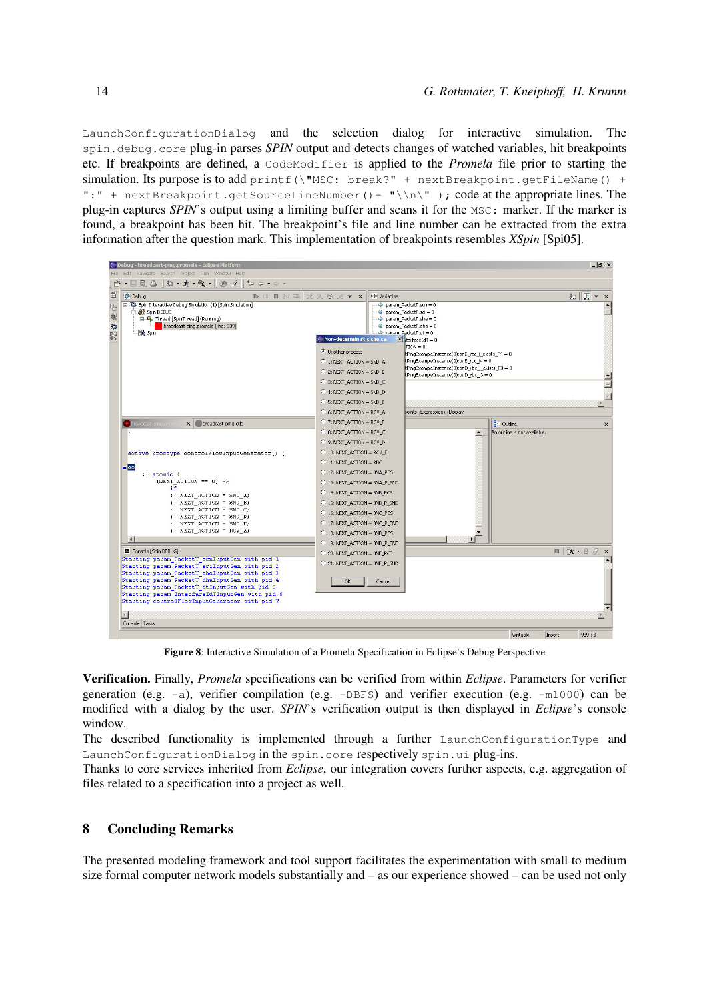LaunchConfigurationDialog and the selection dialog for interactive simulation. The spin.debug.core plug-in parses *SPIN* output and detects changes of watched variables, hit breakpoints etc. If breakpoints are defined, a CodeModifier is applied to the *Promela* file prior to starting the simulation. Its purpose is to add  $print(\Psi\setminus\Psi) = +$  nextBreakpoint.getFileName() + ":" + nextBreakpoint.getSourceLineNumber()+ "\\n\"); code at the appropriate lines. The plug-in captures *SPIN*'s output using a limiting buffer and scans it for the MSC: marker. If the marker is found, a breakpoint has been hit. The breakpoint's file and line number can be extracted from the extra information after the question mark. This implementation of breakpoints resembles *XSpin* [Spi05].



**Figure 8**: Interactive Simulation of a Promela Specification in Eclipse's Debug Perspective

**Verification.** Finally, *Promela* specifications can be verified from within *Eclipse*. Parameters for verifier generation (e.g.  $-a$ ), verifier compilation (e.g.  $-DBFS$ ) and verifier execution (e.g.  $-m1000$ ) can be modified with a dialog by the user. *SPIN*'s verification output is then displayed in *Eclipse*'s console window.

The described functionality is implemented through a further LaunchConfigurationType and LaunchConfigurationDialog in the spin.core respectively spin.ui plug-ins.

Thanks to core services inherited from *Eclipse*, our integration covers further aspects, e.g. aggregation of files related to a specification into a project as well.

#### **8 Concluding Remarks**

The presented modeling framework and tool support facilitates the experimentation with small to medium size formal computer network models substantially and – as our experience showed – can be used not only